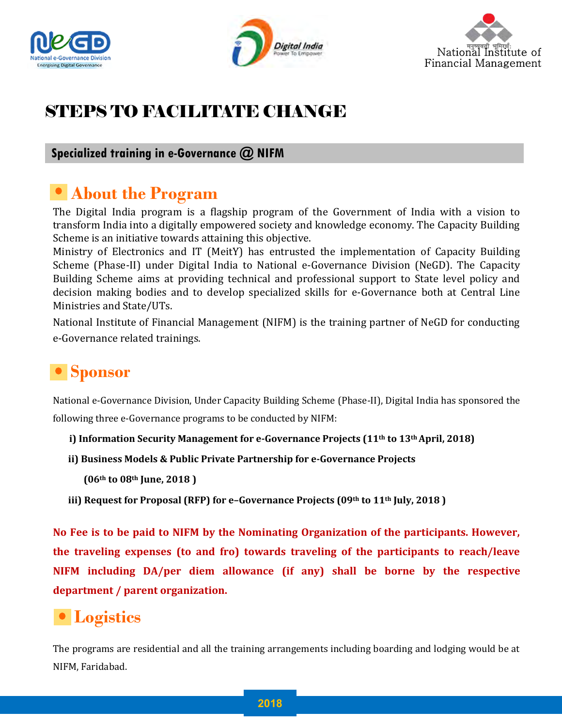





# STEPS TO FACILITATE CHANGE

#### **Specialized training in e-Governance @ NIFM**

### **About the Program**

The Digital India program is a flagship program of the Government of India with a vision to transform India into a digitally empowered society and knowledge economy. The Capacity Building Scheme is an initiative towards attaining this objective.

Ministry of Electronics and IT (MeitY) has entrusted the implementation of Capacity Building Scheme (Phase-II) under Digital India to National e-Governance Division (NeGD). The Capacity Building Scheme aims at providing technical and professional support to State level policy and decision making bodies and to develop specialized skills for e-Governance both at Central Line Ministries and State/UTs.

National Institute of Financial Management (NIFM) is the training partner of NeGD for conducting e-Governance related trainings.

# **Sponsor**

National e-Governance Division, Under Capacity Building Scheme (Phase-II), Digital India has sponsored the following three e-Governance programs to be conducted by NIFM:

- **i) Information Security Management for e-Governance Projects (11th to 13th April, 2018)**
- **ii) Business Models & Public Private Partnership for e-Governance Projects** 
	- **(06th to 08th June, 2018 )**
- **iii) Request for Proposal (RFP) for e–Governance Projects (09th to 11th July, 2018 )**

**No Fee is to be paid to NIFM by the Nominating Organization of the participants. However, the traveling expenses (to and fro) towards traveling of the participants to reach/leave NIFM including DA/per diem allowance (if any) shall be borne by the respective department / parent organization.**

## **Logistics**

The programs are residential and all the training arrangements including boarding and lodging would be at NIFM, Faridabad.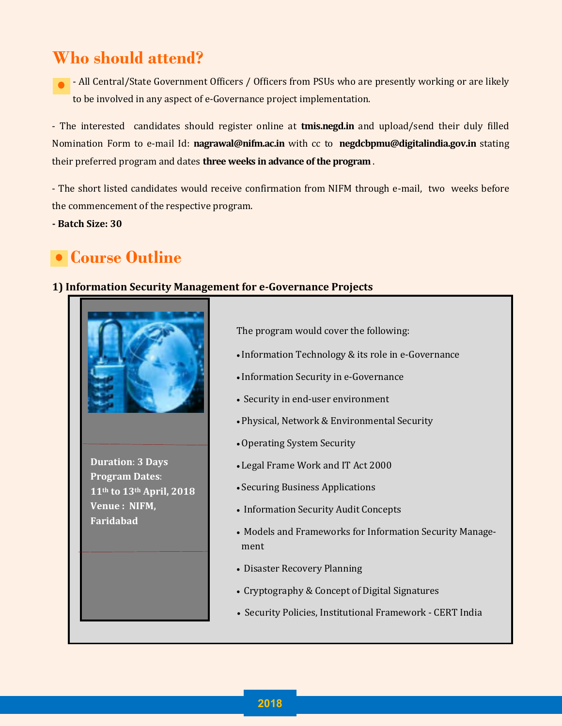# **Who should attend?**

- All Central/State Government Officers / Officers from PSUs who are presently working or are likely to be involved in any aspect of e-Governance project implementation.

- The interested candidates should register online at **tmis.negd.in** and upload/send their duly filled Nomination Form to e-mail Id: **nagrawal@nifm.ac.in** with cc to **negdcbpmu@digitalindia.gov.in** stating their preferred program and dates **three weeks in advance of the program** .

- The short listed candidates would receive confirmation from NIFM through e-mail, two weeks before the commencement of the respective program.

**- Batch Size: 30**

# **Course Outline**

#### **1) Information Security Management for e-Governance Projects**



**Duration**: **3 Days Program Dates**: **11th to 13th April, 2018 Venue : NIFM, Faridabad** 

The program would cover the following:

- Information Technology & its role in e-Governance
- Information Security in e-Governance
- Security in end-user environment
- Physical, Network & Environmental Security
- Operating System Security
- Legal Frame Work and IT Act 2000
- Securing Business Applications
- Information Security Audit Concepts
- Models and Frameworks for Information Security Management
- Disaster Recovery Planning
- Cryptography & Concept of Digital Signatures
- Security Policies, Institutional Framework CERT India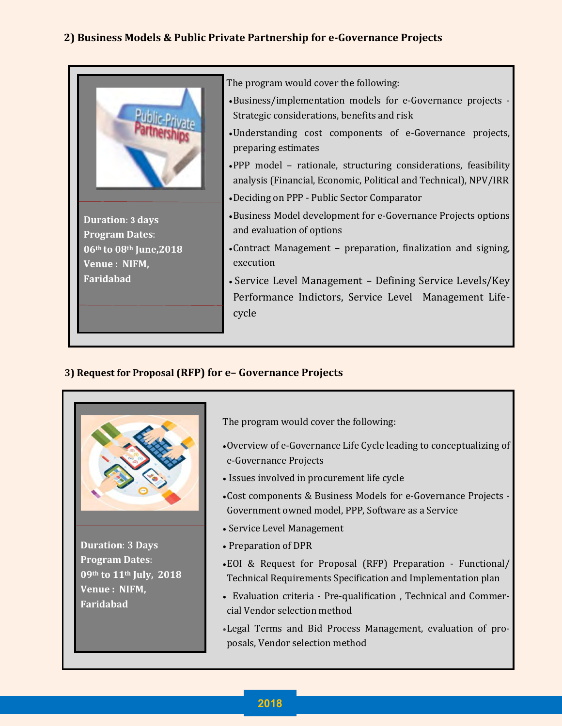#### **2) Business Models & Public Private Partnership for e-Governance Projects**



#### **3) Request for Proposal (RFP) for e– Governance Projects**



The program would cover the following:

- Overview of e-Governance Life Cycle leading to conceptualizing of e-Governance Projects
- Issues involved in procurement life cycle
- Cost components & Business Models for e-Governance Projects Government owned model, PPP, Software as a Service
- Service Level Management
- Preparation of DPR
- EOI & Request for Proposal (RFP) Preparation Functional/ Technical Requirements Specification and Implementation plan
- Evaluation criteria Pre-qualification , Technical and Commercial Vendor selection method
- Legal Terms and Bid Process Management, evaluation of proposals, Vendor selection method